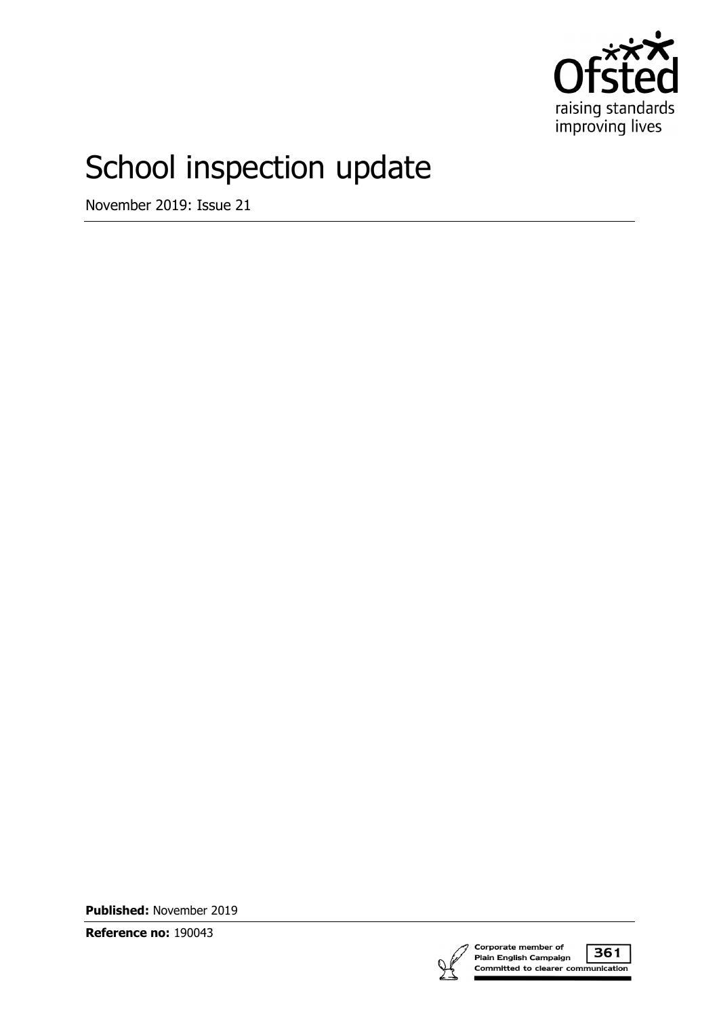

# School inspection update

November 2019: Issue 21

**Published:** November 2019

**Reference no:** 190043

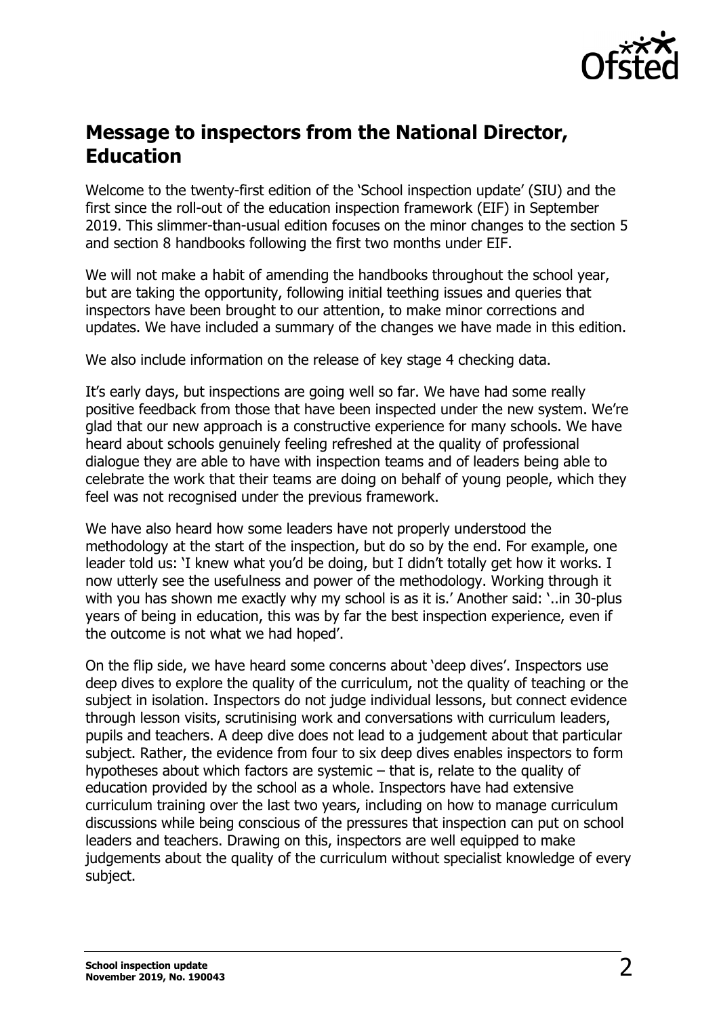

## **Message to inspectors from the National Director, Education**

Welcome to the twenty-first edition of the 'School inspection update' (SIU) and the first since the roll-out of the education inspection framework (EIF) in September 2019. This slimmer-than-usual edition focuses on the minor changes to the section 5 and section 8 handbooks following the first two months under EIF.

We will not make a habit of amending the handbooks throughout the school year, but are taking the opportunity, following initial teething issues and queries that inspectors have been brought to our attention, to make minor corrections and updates. We have included a summary of the changes we have made in this edition.

We also include information on the release of key stage 4 checking data.

It's early days, but inspections are going well so far. We have had some really positive feedback from those that have been inspected under the new system. We're glad that our new approach is a constructive experience for many schools. We have heard about schools genuinely feeling refreshed at the quality of professional dialogue they are able to have with inspection teams and of leaders being able to celebrate the work that their teams are doing on behalf of young people, which they feel was not recognised under the previous framework.

We have also heard how some leaders have not properly understood the methodology at the start of the inspection, but do so by the end. For example, one leader told us: 'I knew what you'd be doing, but I didn't totally get how it works. I now utterly see the usefulness and power of the methodology. Working through it with you has shown me exactly why my school is as it is.' Another said: '..in 30-plus years of being in education, this was by far the best inspection experience, even if the outcome is not what we had hoped'.

On the flip side, we have heard some concerns about 'deep dives'. Inspectors use deep dives to explore the quality of the curriculum, not the quality of teaching or the subject in isolation. Inspectors do not judge individual lessons, but connect evidence through lesson visits, scrutinising work and conversations with curriculum leaders, pupils and teachers. A deep dive does not lead to a judgement about that particular subject. Rather, the evidence from four to six deep dives enables inspectors to form hypotheses about which factors are systemic – that is, relate to the quality of education provided by the school as a whole. Inspectors have had extensive curriculum training over the last two years, including on how to manage curriculum discussions while being conscious of the pressures that inspection can put on school leaders and teachers. Drawing on this, inspectors are well equipped to make judgements about the quality of the curriculum without specialist knowledge of every subject.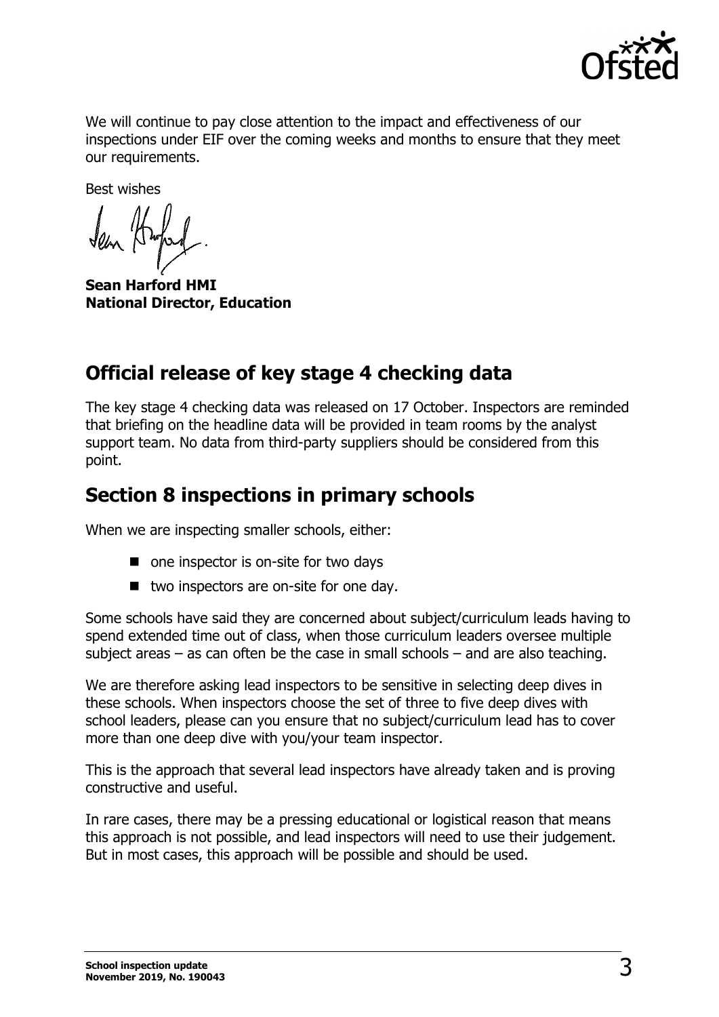

We will continue to pay close attention to the impact and effectiveness of our inspections under EIF over the coming weeks and months to ensure that they meet our requirements.

Best wishes

**Sean Harford HMI National Director, Education**

# **Official release of key stage 4 checking data**

The key stage 4 checking data was released on 17 October. Inspectors are reminded that briefing on the headline data will be provided in team rooms by the analyst support team. No data from third-party suppliers should be considered from this point.

# **Section 8 inspections in primary schools**

When we are inspecting smaller schools, either:

- one inspector is on-site for two days
- two inspectors are on-site for one day.

Some schools have said they are concerned about subject/curriculum leads having to spend extended time out of class, when those curriculum leaders oversee multiple subject areas – as can often be the case in small schools – and are also teaching.

We are therefore asking lead inspectors to be sensitive in selecting deep dives in these schools. When inspectors choose the set of three to five deep dives with school leaders, please can you ensure that no subject/curriculum lead has to cover more than one deep dive with you/your team inspector.

This is the approach that several lead inspectors have already taken and is proving constructive and useful.

In rare cases, there may be a pressing educational or logistical reason that means this approach is not possible, and lead inspectors will need to use their judgement. But in most cases, this approach will be possible and should be used.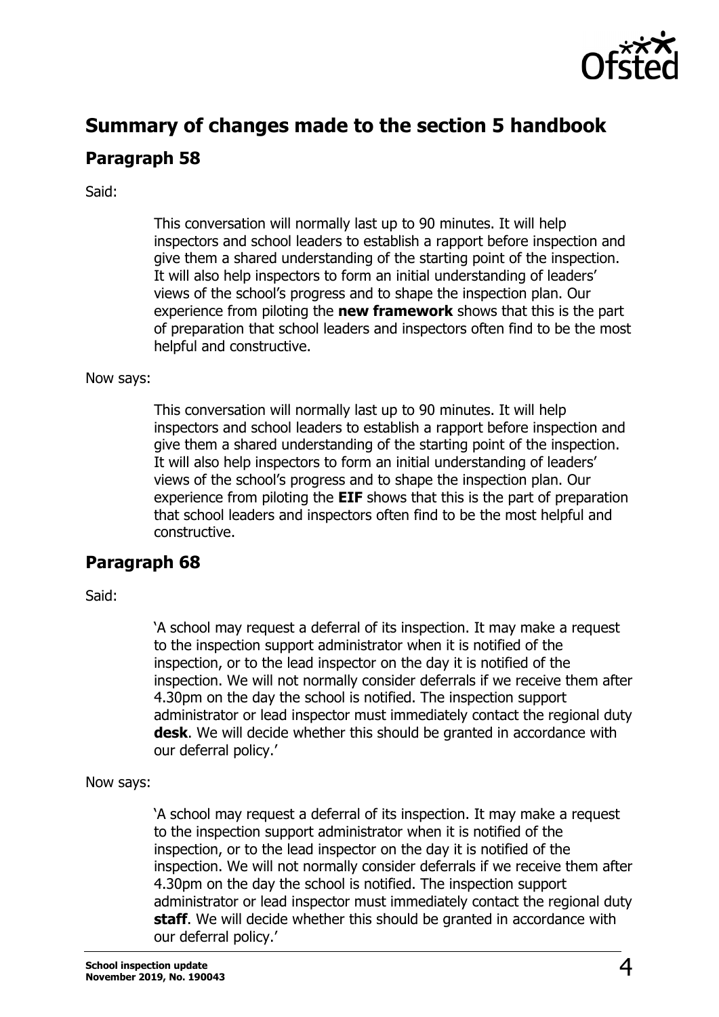

# **Summary of changes made to the section 5 handbook**

### **Paragraph 58**

Said:

This conversation will normally last up to 90 minutes. It will help inspectors and school leaders to establish a rapport before inspection and give them a shared understanding of the starting point of the inspection. It will also help inspectors to form an initial understanding of leaders' views of the school's progress and to shape the inspection plan. Our experience from piloting the **new framework** shows that this is the part of preparation that school leaders and inspectors often find to be the most helpful and constructive.

#### Now says:

This conversation will normally last up to 90 minutes. It will help inspectors and school leaders to establish a rapport before inspection and give them a shared understanding of the starting point of the inspection. It will also help inspectors to form an initial understanding of leaders' views of the school's progress and to shape the inspection plan. Our experience from piloting the **EIF** shows that this is the part of preparation that school leaders and inspectors often find to be the most helpful and constructive.

### **Paragraph 68**

Said:

'A school may request a deferral of its inspection. It may make a request to the inspection support administrator when it is notified of the inspection, or to the lead inspector on the day it is notified of the inspection. We will not normally consider deferrals if we receive them after 4.30pm on the day the school is notified. The inspection support administrator or lead inspector must immediately contact the regional duty **desk**. We will decide whether this should be granted in accordance with our deferral policy.'

#### Now says:

'A school may request a deferral of its inspection. It may make a request to the inspection support administrator when it is notified of the inspection, or to the lead inspector on the day it is notified of the inspection. We will not normally consider deferrals if we receive them after 4.30pm on the day the school is notified. The inspection support administrator or lead inspector must immediately contact the regional duty **staff**. We will decide whether this should be granted in accordance with our deferral policy.'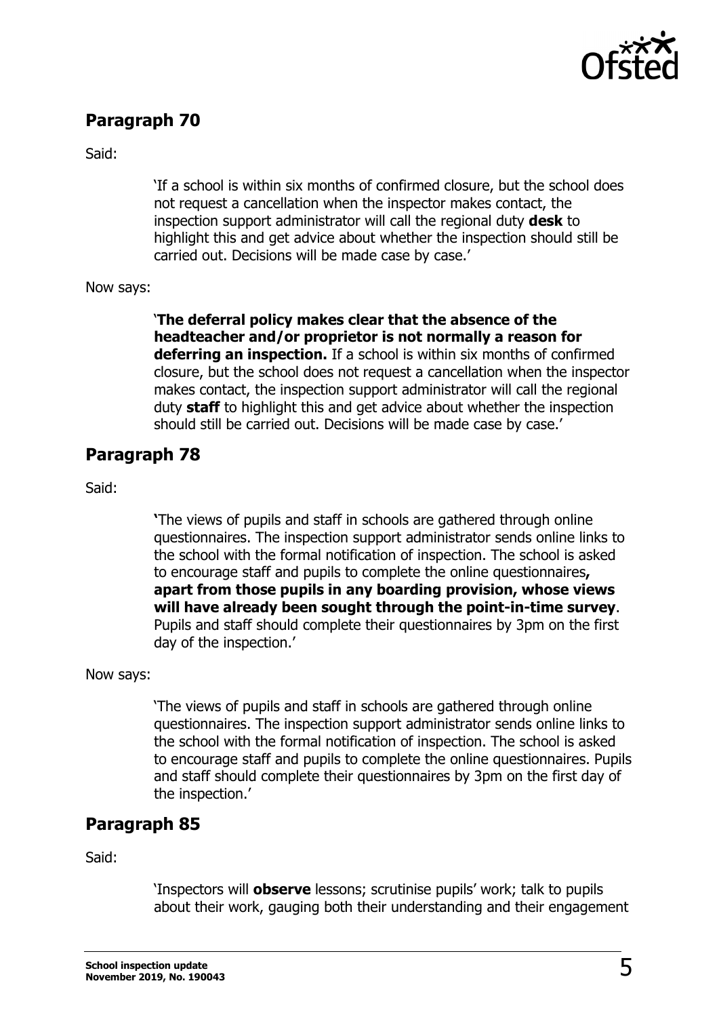

### **Paragraph 70**

Said:

'If a school is within six months of confirmed closure, but the school does not request a cancellation when the inspector makes contact, the inspection support administrator will call the regional duty **desk** to highlight this and get advice about whether the inspection should still be carried out. Decisions will be made case by case.'

Now says:

'**The deferral policy makes clear that the absence of the headteacher and/or proprietor is not normally a reason for deferring an inspection.** If a school is within six months of confirmed closure, but the school does not request a cancellation when the inspector makes contact, the inspection support administrator will call the regional duty **staff** to highlight this and get advice about whether the inspection should still be carried out. Decisions will be made case by case.'

### **Paragraph 78**

Said:

**'**The views of pupils and staff in schools are gathered through online questionnaires. The inspection support administrator sends online links to the school with the formal notification of inspection. The school is asked to encourage staff and pupils to complete the online questionnaires**, apart from those pupils in any boarding provision, whose views will have already been sought through the point-in-time survey**. Pupils and staff should complete their questionnaires by 3pm on the first day of the inspection.'

Now says:

'The views of pupils and staff in schools are gathered through online questionnaires. The inspection support administrator sends online links to the school with the formal notification of inspection. The school is asked to encourage staff and pupils to complete the online questionnaires. Pupils and staff should complete their questionnaires by 3pm on the first day of the inspection.'

### **Paragraph 85**

Said:

'Inspectors will **observe** lessons; scrutinise pupils' work; talk to pupils about their work, gauging both their understanding and their engagement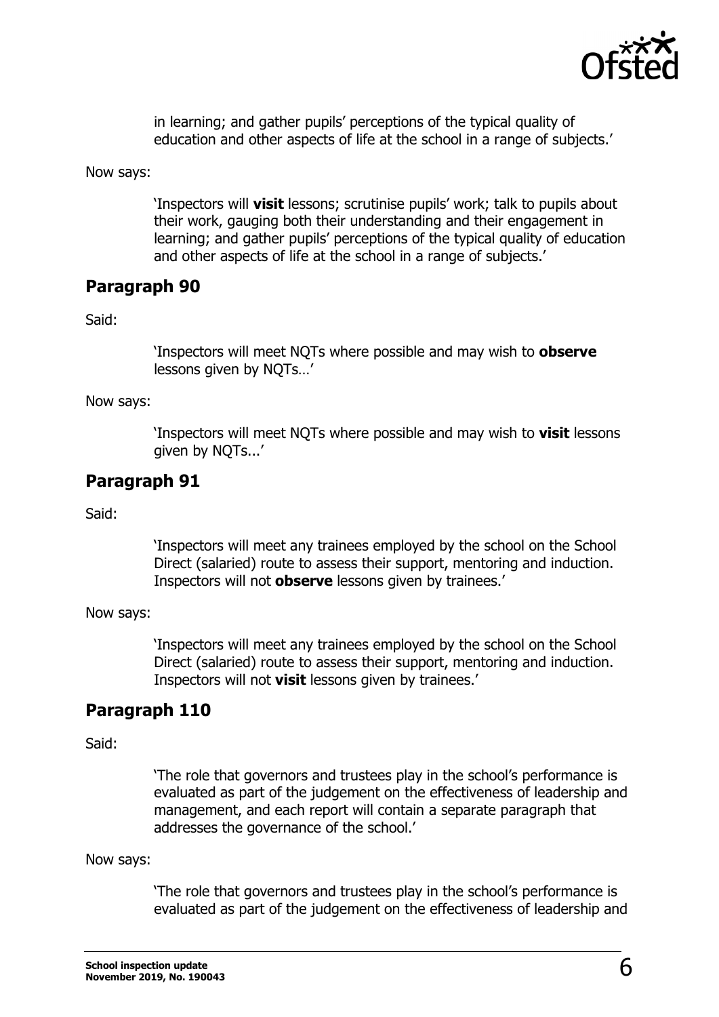

in learning; and gather pupils' perceptions of the typical quality of education and other aspects of life at the school in a range of subjects.'

Now says:

'Inspectors will **visit** lessons; scrutinise pupils' work; talk to pupils about their work, gauging both their understanding and their engagement in learning; and gather pupils' perceptions of the typical quality of education and other aspects of life at the school in a range of subjects.'

### **Paragraph 90**

Said:

'Inspectors will meet NQTs where possible and may wish to **observe**  lessons given by NOTs...'

Now says:

'Inspectors will meet NQTs where possible and may wish to **visit** lessons given by NQTs...'

### **Paragraph 91**

Said:

'Inspectors will meet any trainees employed by the school on the School Direct (salaried) route to assess their support, mentoring and induction. Inspectors will not **observe** lessons given by trainees.'

Now says:

'Inspectors will meet any trainees employed by the school on the School Direct (salaried) route to assess their support, mentoring and induction. Inspectors will not **visit** lessons given by trainees.'

#### **Paragraph 110**

Said:

'The role that governors and trustees play in the school's performance is evaluated as part of the judgement on the effectiveness of leadership and management, and each report will contain a separate paragraph that addresses the governance of the school.'

Now says:

'The role that governors and trustees play in the school's performance is evaluated as part of the judgement on the effectiveness of leadership and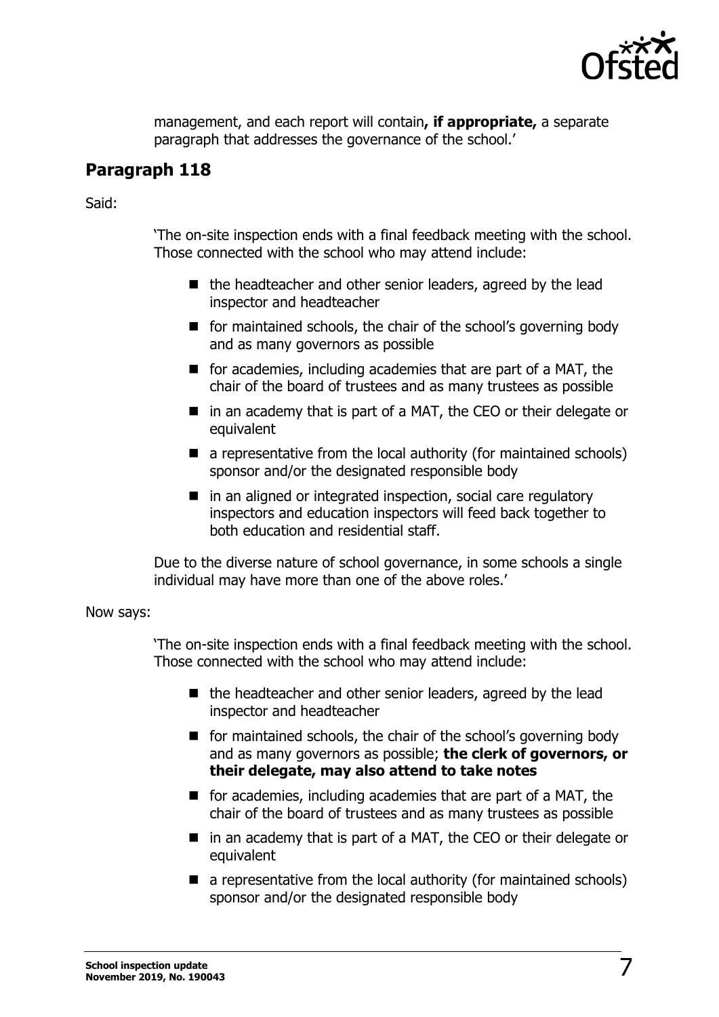

management, and each report will contain**, if appropriate,** a separate paragraph that addresses the governance of the school.'

### **Paragraph 118**

Said:

'The on-site inspection ends with a final feedback meeting with the school. Those connected with the school who may attend include:

- $\blacksquare$  the headteacher and other senior leaders, agreed by the lead inspector and headteacher
- **F** for maintained schools, the chair of the school's governing body and as many governors as possible
- $\blacksquare$  for academies, including academies that are part of a MAT, the chair of the board of trustees and as many trustees as possible
- in an academy that is part of a MAT, the CEO or their delegate or equivalent
- $\blacksquare$  a representative from the local authority (for maintained schools) sponsor and/or the designated responsible body
- $\blacksquare$  in an aligned or integrated inspection, social care regulatory inspectors and education inspectors will feed back together to both education and residential staff.

Due to the diverse nature of school governance, in some schools a single individual may have more than one of the above roles.'

Now says:

'The on-site inspection ends with a final feedback meeting with the school. Those connected with the school who may attend include:

- $\blacksquare$  the headteacher and other senior leaders, agreed by the lead inspector and headteacher
- **for maintained schools, the chair of the school's governing body** and as many governors as possible; **the clerk of governors, or their delegate, may also attend to take notes**
- $\blacksquare$  for academies, including academies that are part of a MAT, the chair of the board of trustees and as many trustees as possible
- in an academy that is part of a MAT, the CEO or their delegate or equivalent
- $\blacksquare$  a representative from the local authority (for maintained schools) sponsor and/or the designated responsible body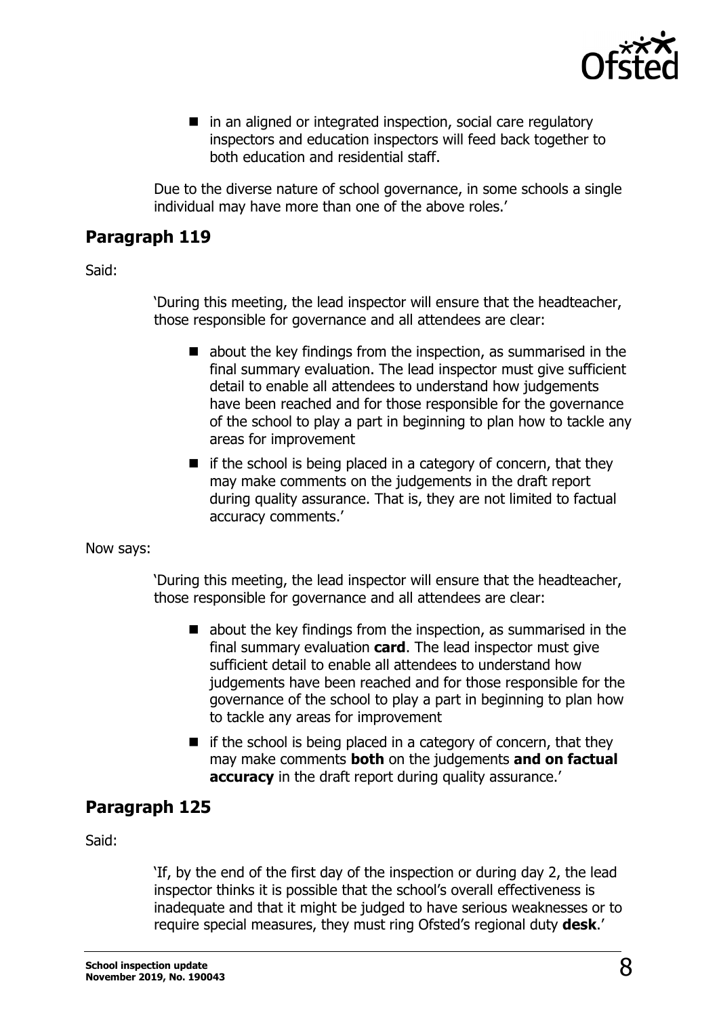

■ in an aligned or integrated inspection, social care regulatory inspectors and education inspectors will feed back together to both education and residential staff.

Due to the diverse nature of school governance, in some schools a single individual may have more than one of the above roles.'

### **Paragraph 119**

Said:

'During this meeting, the lead inspector will ensure that the headteacher, those responsible for governance and all attendees are clear:

- $\blacksquare$  about the key findings from the inspection, as summarised in the final summary evaluation. The lead inspector must give sufficient detail to enable all attendees to understand how judgements have been reached and for those responsible for the governance of the school to play a part in beginning to plan how to tackle any areas for improvement
- $\blacksquare$  if the school is being placed in a category of concern, that they may make comments on the judgements in the draft report during quality assurance. That is, they are not limited to factual accuracy comments.'

Now says:

'During this meeting, the lead inspector will ensure that the headteacher, those responsible for governance and all attendees are clear:

- $\blacksquare$  about the key findings from the inspection, as summarised in the final summary evaluation **card**. The lead inspector must give sufficient detail to enable all attendees to understand how judgements have been reached and for those responsible for the governance of the school to play a part in beginning to plan how to tackle any areas for improvement
- $\blacksquare$  if the school is being placed in a category of concern, that they may make comments **both** on the judgements **and on factual accuracy** in the draft report during quality assurance.

### **Paragraph 125**

Said:

'If, by the end of the first day of the inspection or during day 2, the lead inspector thinks it is possible that the school's overall effectiveness is inadequate and that it might be judged to have serious weaknesses or to require special measures, they must ring Ofsted's regional duty **desk**.'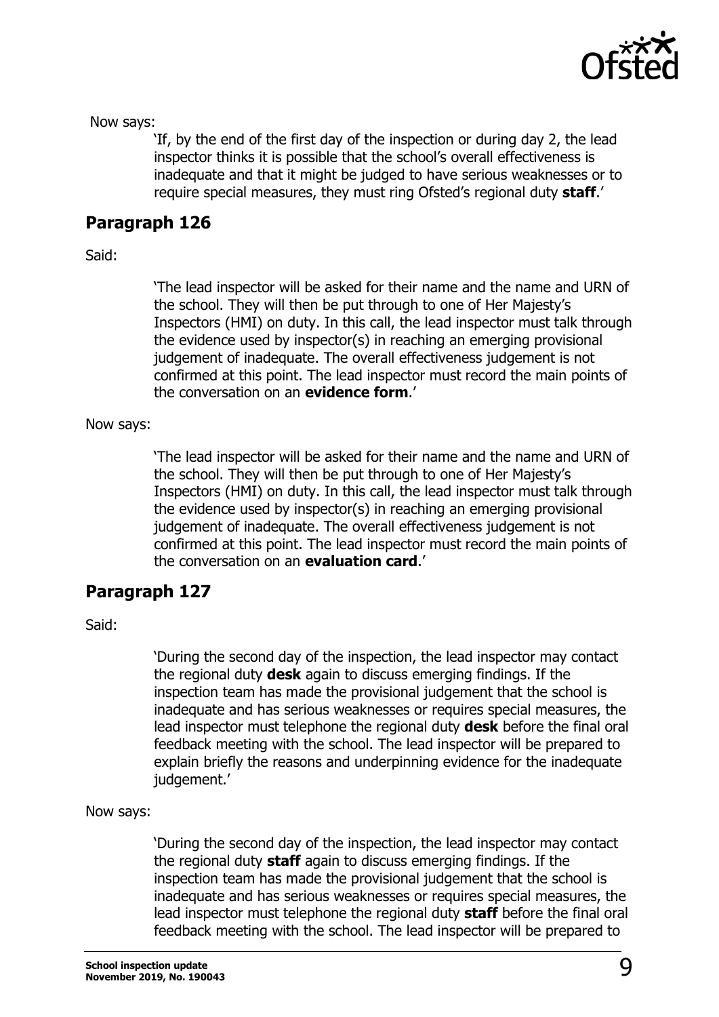

Now says:

'If, by the end of the first day of the inspection or during day 2, the lead inspector thinks it is possible that the school's overall effectiveness is inadequate and that it might be judged to have serious weaknesses or to require special measures, they must ring Ofsted's regional duty **staff**.'

### **Paragraph 126**

Said:

'The lead inspector will be asked for their name and the name and URN of the school. They will then be put through to one of Her Majesty's Inspectors (HMI) on duty. In this call, the lead inspector must talk through the evidence used by inspector(s) in reaching an emerging provisional judgement of inadequate. The overall effectiveness judgement is not confirmed at this point. The lead inspector must record the main points of the conversation on an **evidence form**.'

#### Now says:

'The lead inspector will be asked for their name and the name and URN of the school. They will then be put through to one of Her Majesty's Inspectors (HMI) on duty. In this call, the lead inspector must talk through the evidence used by inspector(s) in reaching an emerging provisional judgement of inadequate. The overall effectiveness judgement is not confirmed at this point. The lead inspector must record the main points of the conversation on an **evaluation card**.'

### **Paragraph 127**

Said:

'During the second day of the inspection, the lead inspector may contact the regional duty **desk** again to discuss emerging findings. If the inspection team has made the provisional judgement that the school is inadequate and has serious weaknesses or requires special measures, the lead inspector must telephone the regional duty **desk** before the final oral feedback meeting with the school. The lead inspector will be prepared to explain briefly the reasons and underpinning evidence for the inadequate judgement.'

Now says:

'During the second day of the inspection, the lead inspector may contact the regional duty **staff** again to discuss emerging findings. If the inspection team has made the provisional judgement that the school is inadequate and has serious weaknesses or requires special measures, the lead inspector must telephone the regional duty **staff** before the final oral feedback meeting with the school. The lead inspector will be prepared to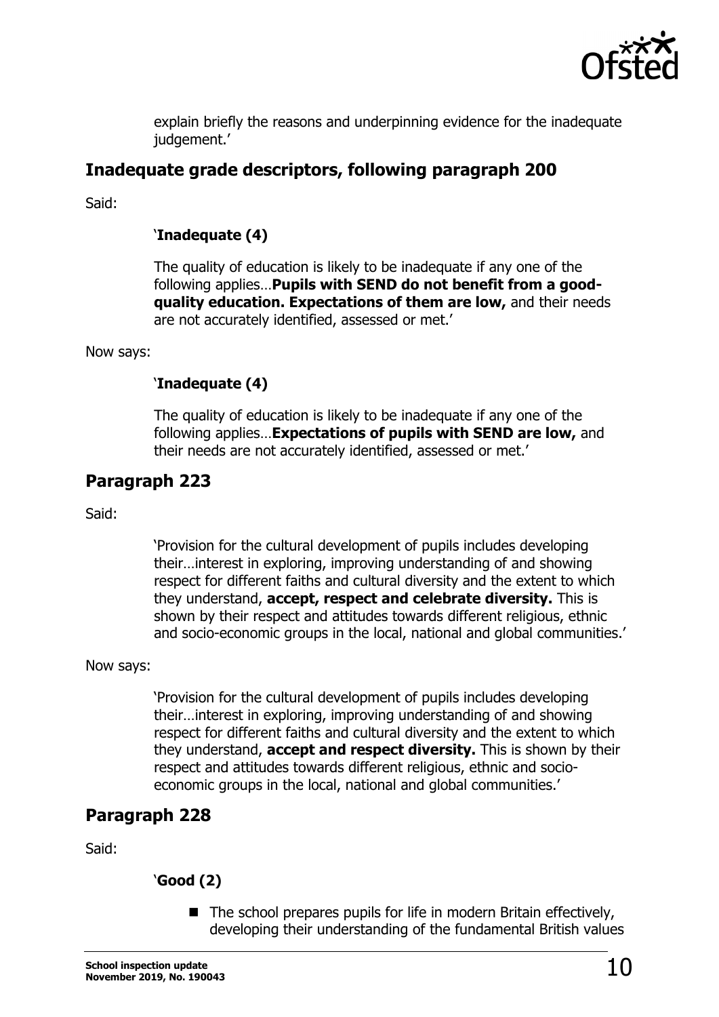

explain briefly the reasons and underpinning evidence for the inadequate judgement.'

### **Inadequate grade descriptors, following paragraph 200**

Said:

#### '**Inadequate (4)**

The quality of education is likely to be inadequate if any one of the following applies…**Pupils with SEND do not benefit from a goodquality education. Expectations of them are low,** and their needs are not accurately identified, assessed or met.'

Now says:

#### '**Inadequate (4)**

The quality of education is likely to be inadequate if any one of the following applies…**Expectations of pupils with SEND are low,** and their needs are not accurately identified, assessed or met.'

### **Paragraph 223**

Said:

'Provision for the cultural development of pupils includes developing their…interest in exploring, improving understanding of and showing respect for different faiths and cultural diversity and the extent to which they understand, **accept, respect and celebrate diversity.** This is shown by their respect and attitudes towards different religious, ethnic and socio-economic groups in the local, national and global communities.'

#### Now says:

'Provision for the cultural development of pupils includes developing their…interest in exploring, improving understanding of and showing respect for different faiths and cultural diversity and the extent to which they understand, **accept and respect diversity.** This is shown by their respect and attitudes towards different religious, ethnic and socioeconomic groups in the local, national and global communities.'

#### **Paragraph 228**

Said:

#### '**Good (2)**

 $\blacksquare$  The school prepares pupils for life in modern Britain effectively, developing their understanding of the fundamental British values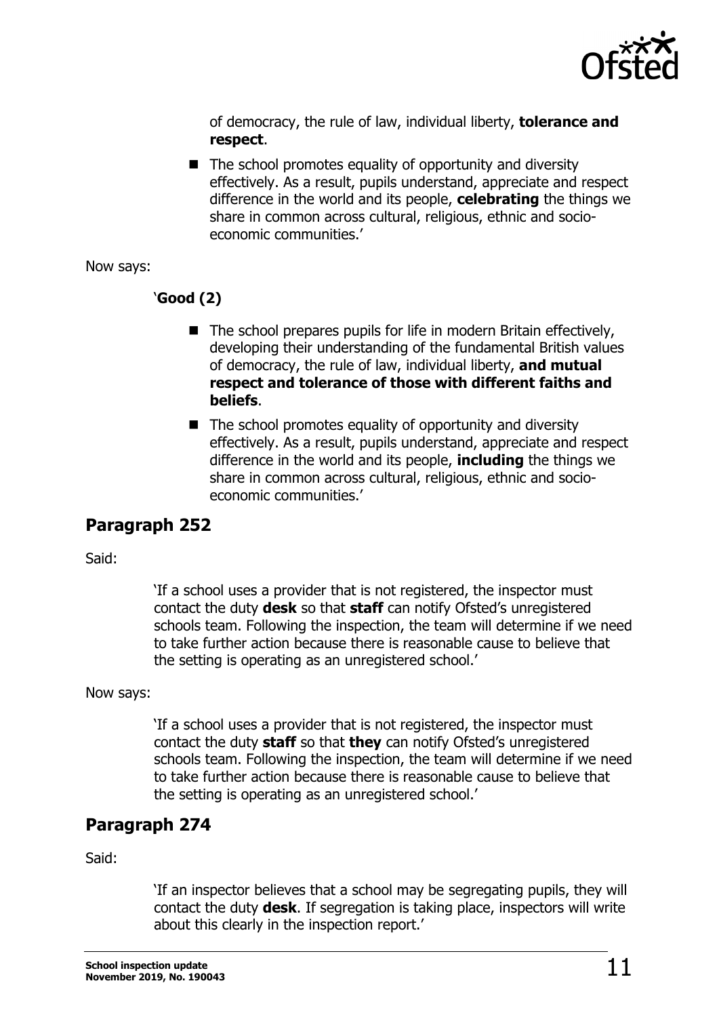

of democracy, the rule of law, individual liberty, **tolerance and respect**.

 $\blacksquare$  The school promotes equality of opportunity and diversity effectively. As a result, pupils understand, appreciate and respect difference in the world and its people, **celebrating** the things we share in common across cultural, religious, ethnic and socioeconomic communities.'

Now says:

#### '**Good (2)**

- $\blacksquare$  The school prepares pupils for life in modern Britain effectively, developing their understanding of the fundamental British values of democracy, the rule of law, individual liberty, **and mutual respect and tolerance of those with different faiths and beliefs**.
- $\blacksquare$  The school promotes equality of opportunity and diversity effectively. As a result, pupils understand, appreciate and respect difference in the world and its people, **including** the things we share in common across cultural, religious, ethnic and socioeconomic communities.'

### **Paragraph 252**

Said:

'If a school uses a provider that is not registered, the inspector must contact the duty **desk** so that **staff** can notify Ofsted's unregistered schools team. Following the inspection, the team will determine if we need to take further action because there is reasonable cause to believe that the setting is operating as an unregistered school.'

Now says:

'If a school uses a provider that is not registered, the inspector must contact the duty **staff** so that **they** can notify Ofsted's unregistered schools team. Following the inspection, the team will determine if we need to take further action because there is reasonable cause to believe that the setting is operating as an unregistered school.'

### **Paragraph 274**

Said:

'If an inspector believes that a school may be segregating pupils, they will contact the duty **desk**. If segregation is taking place, inspectors will write about this clearly in the inspection report.'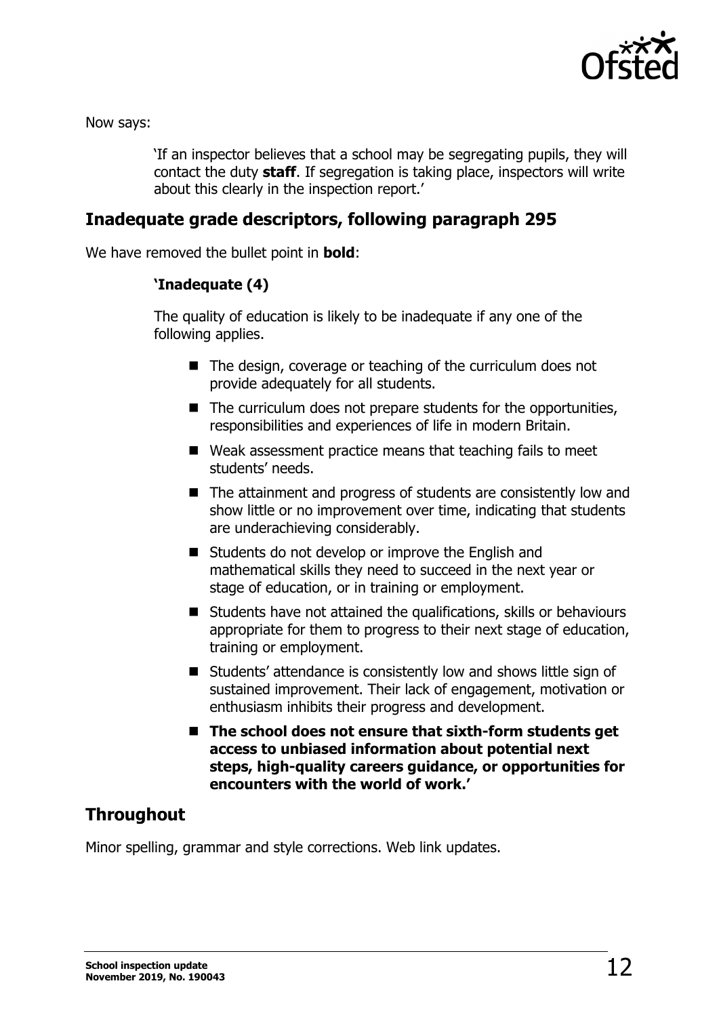

Now says:

'If an inspector believes that a school may be segregating pupils, they will contact the duty **staff**. If segregation is taking place, inspectors will write about this clearly in the inspection report.'

### **Inadequate grade descriptors, following paragraph 295**

We have removed the bullet point in **bold**:

#### **'Inadequate (4)**

The quality of education is likely to be inadequate if any one of the following applies.

- The design, coverage or teaching of the curriculum does not provide adequately for all students.
- $\blacksquare$  The curriculum does not prepare students for the opportunities, responsibilities and experiences of life in modern Britain.
- Weak assessment practice means that teaching fails to meet students' needs.
- The attainment and progress of students are consistently low and show little or no improvement over time, indicating that students are underachieving considerably.
- Students do not develop or improve the English and mathematical skills they need to succeed in the next year or stage of education, or in training or employment.
- Students have not attained the qualifications, skills or behaviours appropriate for them to progress to their next stage of education, training or employment.
- Students' attendance is consistently low and shows little sign of sustained improvement. Their lack of engagement, motivation or enthusiasm inhibits their progress and development.
- The school does not ensure that sixth-form students get **access to unbiased information about potential next steps, high-quality careers guidance, or opportunities for encounters with the world of work.'**

### **Throughout**

Minor spelling, grammar and style corrections. Web link updates.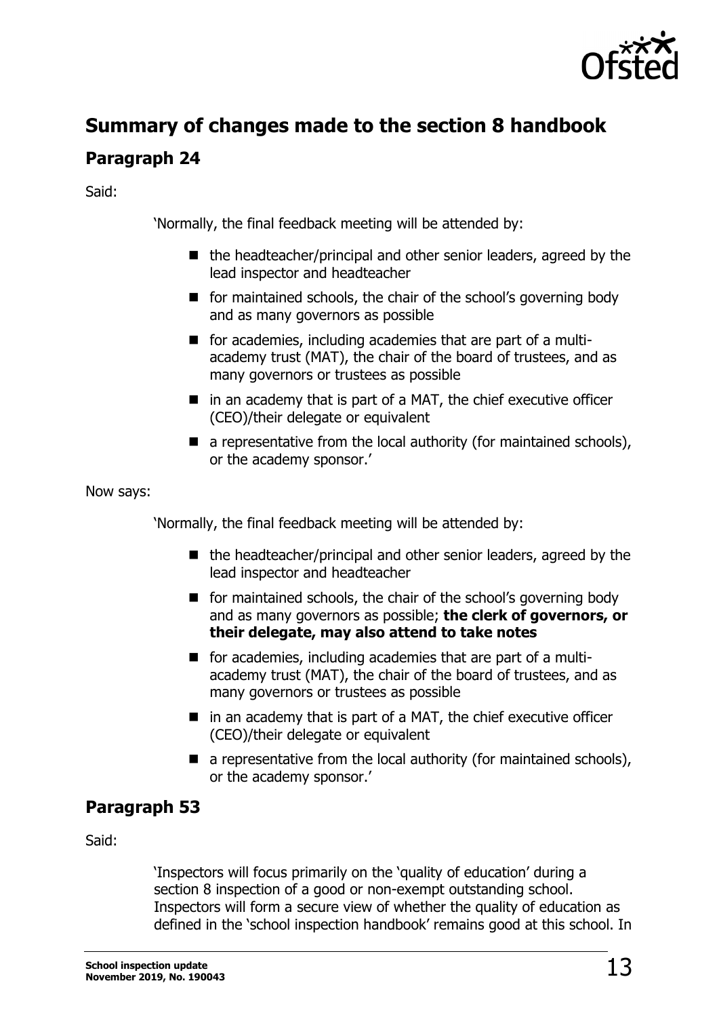

# **Summary of changes made to the section 8 handbook**

### **Paragraph 24**

Said:

'Normally, the final feedback meeting will be attended by:

- $\blacksquare$  the headteacher/principal and other senior leaders, agreed by the lead inspector and headteacher
- **for maintained schools, the chair of the school's governing body** and as many governors as possible
- **for academies, including academies that are part of a multi**academy trust (MAT), the chair of the board of trustees, and as many governors or trustees as possible
- $\blacksquare$  in an academy that is part of a MAT, the chief executive officer (CEO)/their delegate or equivalent
- $\blacksquare$  a representative from the local authority (for maintained schools), or the academy sponsor.'

Now says:

'Normally, the final feedback meeting will be attended by:

- $\blacksquare$  the headteacher/principal and other senior leaders, agreed by the lead inspector and headteacher
- **F** for maintained schools, the chair of the school's governing body and as many governors as possible; **the clerk of governors, or their delegate, may also attend to take notes**
- **for academies, including academies that are part of a multi**academy trust (MAT), the chair of the board of trustees, and as many governors or trustees as possible
- $\blacksquare$  in an academy that is part of a MAT, the chief executive officer (CEO)/their delegate or equivalent
- $\blacksquare$  a representative from the local authority (for maintained schools), or the academy sponsor.'

### **Paragraph 53**

Said:

'Inspectors will focus primarily on the 'quality of education' during a section 8 inspection of a good or non-exempt outstanding school. Inspectors will form a secure view of whether the quality of education as defined in the 'school inspection handbook' remains good at this school. In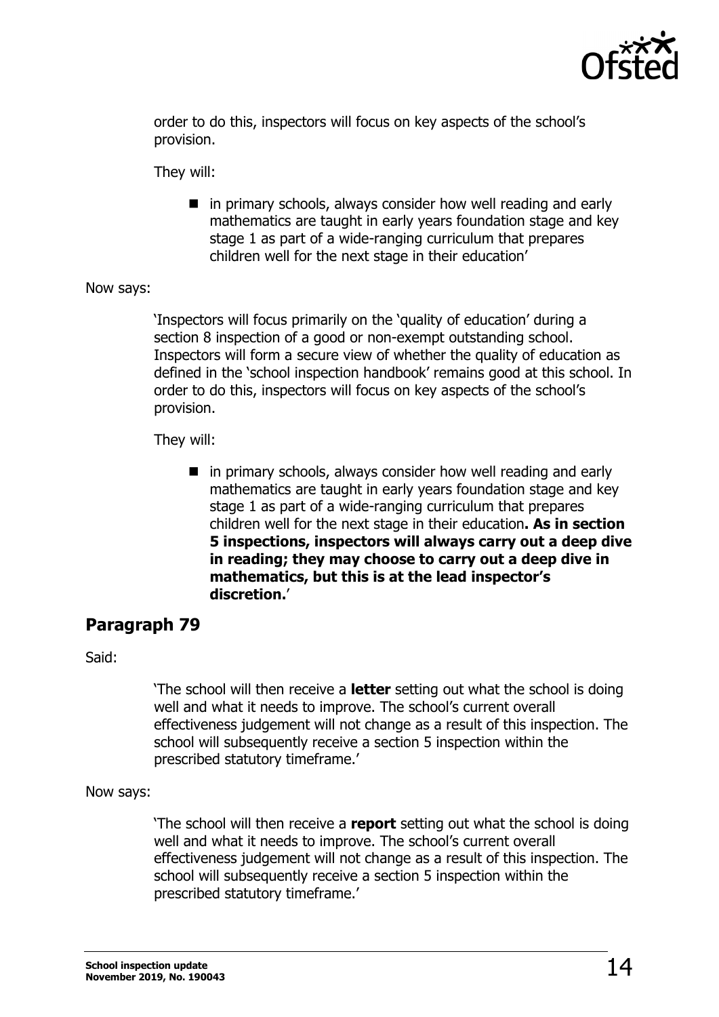

order to do this, inspectors will focus on key aspects of the school's provision.

They will:

■ in primary schools, always consider how well reading and early mathematics are taught in early years foundation stage and key stage 1 as part of a wide-ranging curriculum that prepares children well for the next stage in their education'

#### Now says:

'Inspectors will focus primarily on the 'quality of education' during a section 8 inspection of a good or non-exempt outstanding school. Inspectors will form a secure view of whether the quality of education as defined in the 'school inspection handbook' remains good at this school. In order to do this, inspectors will focus on key aspects of the school's provision.

They will:

 $\blacksquare$  in primary schools, always consider how well reading and early mathematics are taught in early years foundation stage and key stage 1 as part of a wide-ranging curriculum that prepares children well for the next stage in their education**. As in section 5 inspections, inspectors will always carry out a deep dive in reading; they may choose to carry out a deep dive in mathematics, but this is at the lead inspector's discretion.**'

### **Paragraph 79**

Said:

'The school will then receive a **letter** setting out what the school is doing well and what it needs to improve. The school's current overall effectiveness judgement will not change as a result of this inspection. The school will subsequently receive a section 5 inspection within the prescribed statutory timeframe.'

Now says:

'The school will then receive a **report** setting out what the school is doing well and what it needs to improve. The school's current overall effectiveness judgement will not change as a result of this inspection. The school will subsequently receive a section 5 inspection within the prescribed statutory timeframe.'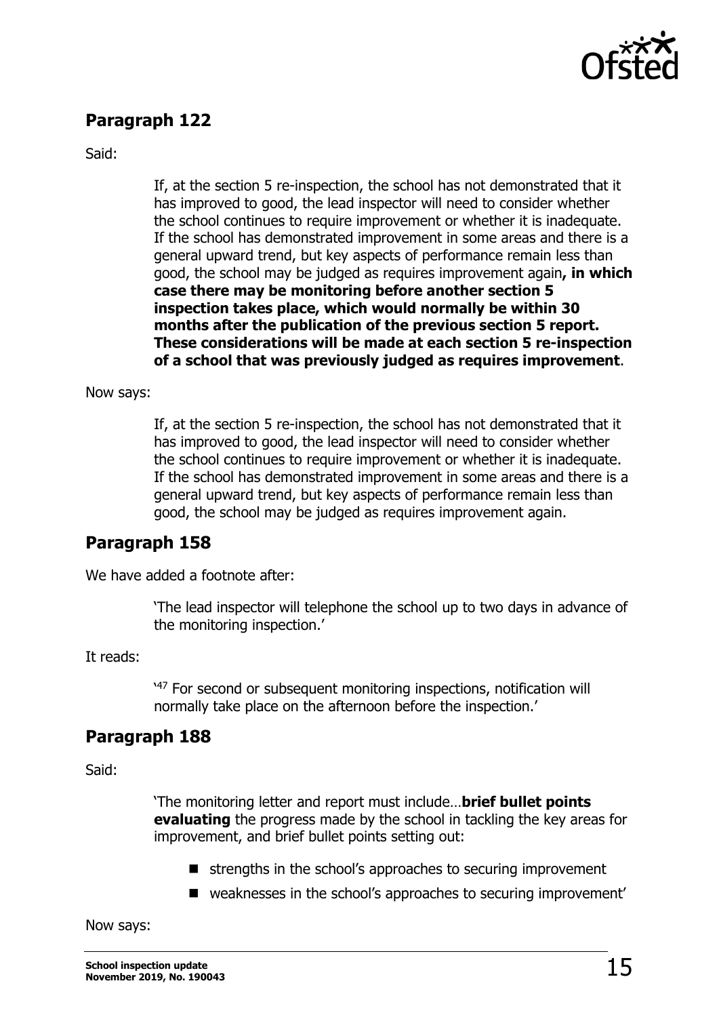

### **Paragraph 122**

Said:

If, at the section 5 re-inspection, the school has not demonstrated that it has improved to good, the lead inspector will need to consider whether the school continues to require improvement or whether it is inadequate. If the school has demonstrated improvement in some areas and there is a general upward trend, but key aspects of performance remain less than good, the school may be judged as requires improvement again**, in which case there may be monitoring before another section 5 inspection takes place, which would normally be within 30 months after the publication of the previous section 5 report. These considerations will be made at each section 5 re-inspection of a school that was previously judged as requires improvement**.

#### Now says:

If, at the section 5 re-inspection, the school has not demonstrated that it has improved to good, the lead inspector will need to consider whether the school continues to require improvement or whether it is inadequate. If the school has demonstrated improvement in some areas and there is a general upward trend, but key aspects of performance remain less than good, the school may be judged as requires improvement again.

### **Paragraph 158**

We have added a footnote after:

'The lead inspector will telephone the school up to two days in advance of the monitoring inspection.'

It reads:

' <sup>47</sup> For second or subsequent monitoring inspections, notification will normally take place on the afternoon before the inspection.'

### **Paragraph 188**

Said:

'The monitoring letter and report must include…**brief bullet points evaluating** the progress made by the school in tackling the key areas for improvement, and brief bullet points setting out:

- $\blacksquare$  strengths in the school's approaches to securing improvement
- weaknesses in the school's approaches to securing improvement'

Now says: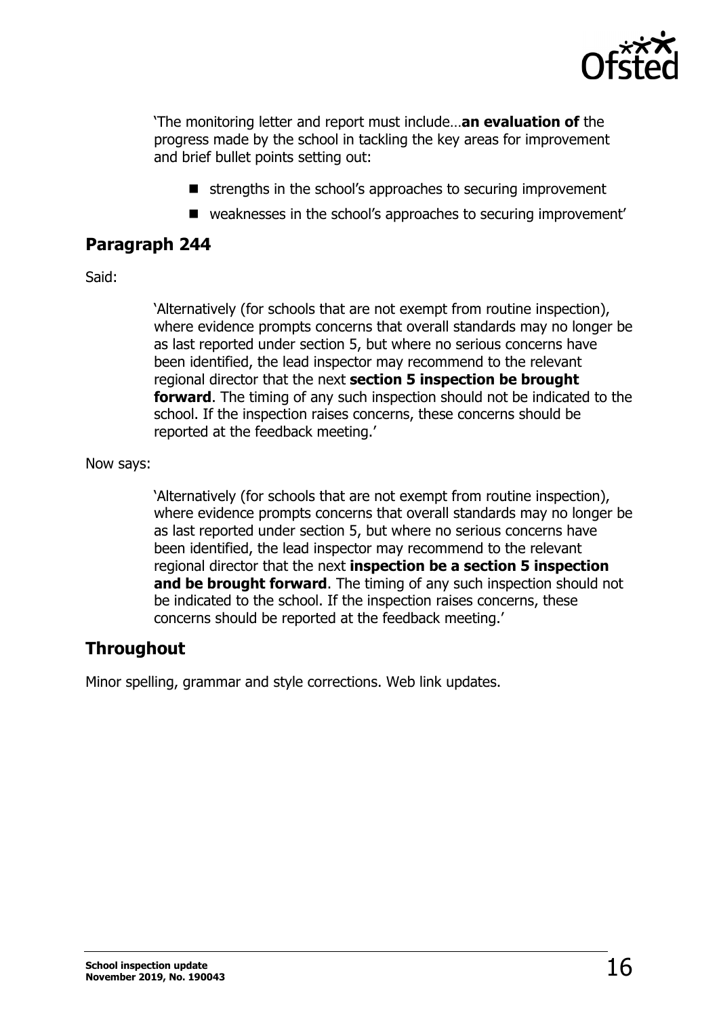

'The monitoring letter and report must include…**an evaluation of** the progress made by the school in tackling the key areas for improvement and brief bullet points setting out:

- $\blacksquare$  strengths in the school's approaches to securing improvement
- weaknesses in the school's approaches to securing improvement'

### **Paragraph 244**

#### Said:

'Alternatively (for schools that are not exempt from routine inspection), where evidence prompts concerns that overall standards may no longer be as last reported under section 5, but where no serious concerns have been identified, the lead inspector may recommend to the relevant regional director that the next **section 5 inspection be brought forward**. The timing of any such inspection should not be indicated to the school. If the inspection raises concerns, these concerns should be reported at the feedback meeting.'

#### Now says:

'Alternatively (for schools that are not exempt from routine inspection), where evidence prompts concerns that overall standards may no longer be as last reported under section 5, but where no serious concerns have been identified, the lead inspector may recommend to the relevant regional director that the next **inspection be a section 5 inspection and be brought forward**. The timing of any such inspection should not be indicated to the school. If the inspection raises concerns, these concerns should be reported at the feedback meeting.'

### **Throughout**

Minor spelling, grammar and style corrections. Web link updates.